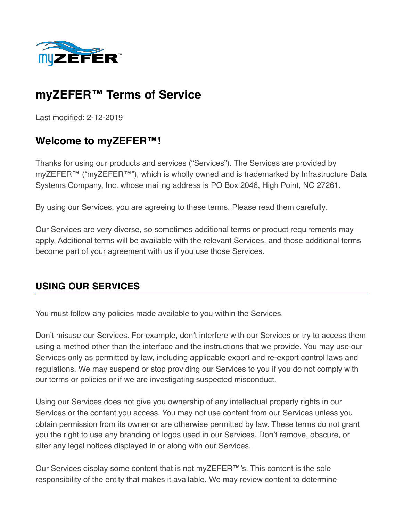

# **myZEFER™ Terms of Service**

Last modified: 2-12-2019

# **Welcome to myZEFER™!**

Thanks for using our products and services ("Services"). The Services are provided by myZEFER™ ("myZEFER™"), which is wholly owned and is trademarked by Infrastructure Data Systems Company, Inc. whose mailing address is PO Box 2046, High Point, NC 27261.

By using our Services, you are agreeing to these terms. Please read them carefully.

Our Services are very diverse, so sometimes additional terms or product requirements may apply. Additional terms will be available with the relevant Services, and those additional terms become part of your agreement with us if you use those Services.

#### **USING OUR SERVICES**

You must follow any policies made available to you within the Services.

Don't misuse our Services. For example, don't interfere with our Services or try to access them using a method other than the interface and the instructions that we provide. You may use our Services only as permitted by law, including applicable export and re-export control laws and regulations. We may suspend or stop providing our Services to you if you do not comply with our terms or policies or if we are investigating suspected misconduct.

Using our Services does not give you ownership of any intellectual property rights in our Services or the content you access. You may not use content from our Services unless you obtain permission from its owner or are otherwise permitted by law. These terms do not grant you the right to use any branding or logos used in our Services. Don't remove, obscure, or alter any legal notices displayed in or along with our Services.

Our Services display some content that is not myZEFER™'s. This content is the sole responsibility of the entity that makes it available. We may review content to determine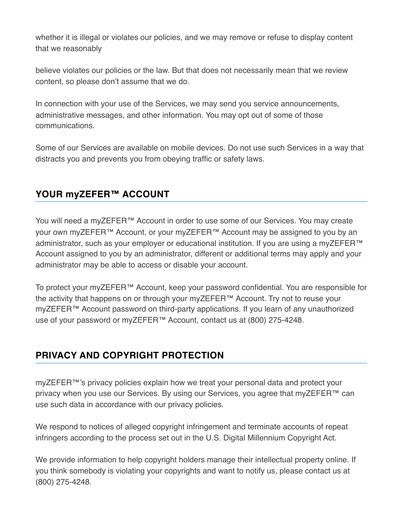whether it is illegal or violates our policies, and we may remove or refuse to display content that we reasonably

believe violates our policies or the law. But that does not necessarily mean that we review content, so please don't assume that we do.

In connection with your use of the Services, we may send you service announcements, administrative messages, and other information. You may opt out of some of those communications.

Some of our Services are available on mobile devices. Do not use such Services in a way that distracts you and prevents you from obeying traffic or safety laws.

#### **YOUR myZEFER™ ACCOUNT**

You will need a myZEFER™ Account in order to use some of our Services. You may create your own myZEFER™ Account, or your myZEFER™ Account may be assigned to you by an administrator, such as your employer or educational institution. If you are using a myZEFER<sup>™</sup> Account assigned to you by an administrator, different or additional terms may apply and your administrator may be able to access or disable your account.

To protect your myZEFER™ Account, keep your password confidential. You are responsible for the activity that happens on or through your myZEFER™ Account. Try not to reuse your myZEFER™ Account password on third-party applications. If you learn of any unauthorized use of your password or myZEFER™ Account, contact us at (800) 275-4248.

### **PRIVACY AND COPYRIGHT PROTECTION**

myZEFER™'s privacy policies explain how we treat your personal data and protect your privacy when you use our Services. By using our Services, you agree that myZEFER™ can use such data in accordance with our privacy policies.

We respond to notices of alleged copyright infringement and terminate accounts of repeat infringers according to the process set out in the U.S. Digital Millennium Copyright Act.

We provide information to help copyright holders manage their intellectual property online. If you think somebody is violating your copyrights and want to notify us, please contact us at (800) 275-4248.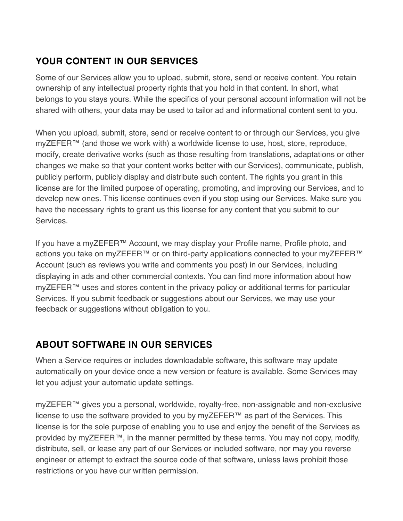## **YOUR CONTENT IN OUR SERVICES**

Some of our Services allow you to upload, submit, store, send or receive content. You retain ownership of any intellectual property rights that you hold in that content. In short, what belongs to you stays yours. While the specifics of your personal account information will not be shared with others, your data may be used to tailor ad and informational content sent to you.

When you upload, submit, store, send or receive content to or through our Services, you give myZEFER™ (and those we work with) a worldwide license to use, host, store, reproduce, modify, create derivative works (such as those resulting from translations, adaptations or other changes we make so that your content works better with our Services), communicate, publish, publicly perform, publicly display and distribute such content. The rights you grant in this license are for the limited purpose of operating, promoting, and improving our Services, and to develop new ones. This license continues even if you stop using our Services. Make sure you have the necessary rights to grant us this license for any content that you submit to our **Services** 

If you have a myZEFER™ Account, we may display your Profile name, Profile photo, and actions you take on myZEFER™ or on third-party applications connected to your myZEFER™ Account (such as reviews you write and comments you post) in our Services, including displaying in ads and other commercial contexts. You can find more information about how myZEFER™ uses and stores content in the privacy policy or additional terms for particular Services. If you submit feedback or suggestions about our Services, we may use your feedback or suggestions without obligation to you.

### **ABOUT SOFTWARE IN OUR SERVICES**

When a Service requires or includes downloadable software, this software may update automatically on your device once a new version or feature is available. Some Services may let you adjust your automatic update settings.

myZEFER™ gives you a personal, worldwide, royalty-free, non-assignable and non-exclusive license to use the software provided to you by myZEFER™ as part of the Services. This license is for the sole purpose of enabling you to use and enjoy the benefit of the Services as provided by myZEFER™, in the manner permitted by these terms. You may not copy, modify, distribute, sell, or lease any part of our Services or included software, nor may you reverse engineer or attempt to extract the source code of that software, unless laws prohibit those restrictions or you have our written permission.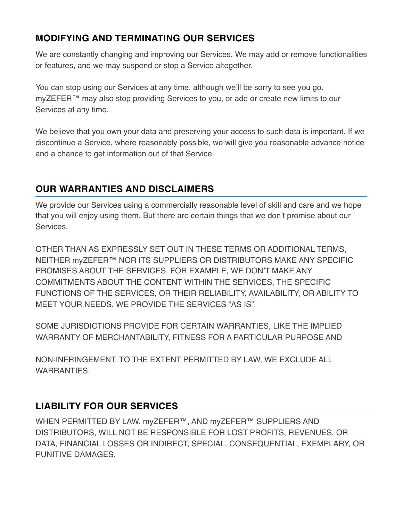### **MODIFYING AND TERMINATING OUR SERVICES**

We are constantly changing and improving our Services. We may add or remove functionalities or features, and we may suspend or stop a Service altogether.

You can stop using our Services at any time, although we'll be sorry to see you go. myZEFER™ may also stop providing Services to you, or add or create new limits to our Services at any time.

We believe that you own your data and preserving your access to such data is important. If we discontinue a Service, where reasonably possible, we will give you reasonable advance notice and a chance to get information out of that Service.

## **OUR WARRANTIES AND DISCLAIMERS**

We provide our Services using a commercially reasonable level of skill and care and we hope that you will enjoy using them. But there are certain things that we don't promise about our Services.

OTHER THAN AS EXPRESSLY SET OUT IN THESE TERMS OR ADDITIONAL TERMS, NEITHER myZEFER™ NOR ITS SUPPLIERS OR DISTRIBUTORS MAKE ANY SPECIFIC PROMISES ABOUT THE SERVICES. FOR EXAMPLE, WE DON'T MAKE ANY COMMITMENTS ABOUT THE CONTENT WITHIN THE SERVICES, THE SPECIFIC FUNCTIONS OF THE SERVICES, OR THEIR RELIABILITY, AVAILABILITY, OR ABILITY TO MEET YOUR NEEDS. WE PROVIDE THE SERVICES "AS IS".

SOME JURISDICTIONS PROVIDE FOR CERTAIN WARRANTIES, LIKE THE IMPLIED WARRANTY OF MERCHANTABILITY, FITNESS FOR A PARTICULAR PURPOSE AND

NON-INFRINGEMENT. TO THE EXTENT PERMITTED BY LAW, WE EXCLUDE ALL **WARRANTIFS** 

### **LIABILITY FOR OUR SERVICES**

WHEN PERMITTED BY LAW, myZEFER™, AND myZEFER™ SUPPLIERS AND DISTRIBUTORS, WILL NOT BE RESPONSIBLE FOR LOST PROFITS, REVENUES, OR DATA, FINANCIAL LOSSES OR INDIRECT, SPECIAL, CONSEQUENTIAL, EXEMPLARY, OR PUNITIVE DAMAGES.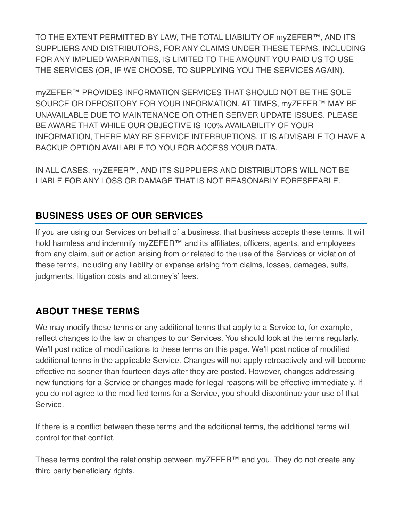TO THE EXTENT PERMITTED BY LAW, THE TOTAL LIABILITY OF myZEFER™, AND ITS SUPPLIERS AND DISTRIBUTORS, FOR ANY CLAIMS UNDER THESE TERMS, INCLUDING FOR ANY IMPLIED WARRANTIES, IS LIMITED TO THE AMOUNT YOU PAID US TO USE THE SERVICES (OR, IF WE CHOOSE, TO SUPPLYING YOU THE SERVICES AGAIN).

myZEFER™ PROVIDES INFORMATION SERVICES THAT SHOULD NOT BE THE SOLE SOURCE OR DEPOSITORY FOR YOUR INFORMATION. AT TIMES, myZEFER™ MAY BE UNAVAILABLE DUE TO MAINTENANCE OR OTHER SERVER UPDATE ISSUES. PLEASE BE AWARE THAT WHILE OUR OBJECTIVE IS 100% AVAILABILITY OF YOUR INFORMATION, THERE MAY BE SERVICE INTERRUPTIONS. IT IS ADVISABLE TO HAVE A BACKUP OPTION AVAILABLE TO YOU FOR ACCESS YOUR DATA.

IN ALL CASES, myZEFER™, AND ITS SUPPLIERS AND DISTRIBUTORS WILL NOT BE LIABLE FOR ANY LOSS OR DAMAGE THAT IS NOT REASONABLY FORESEEABLE.

## **BUSINESS USES OF OUR SERVICES**

If you are using our Services on behalf of a business, that business accepts these terms. It will hold harmless and indemnify myZEFER™ and its affiliates, officers, agents, and employees from any claim, suit or action arising from or related to the use of the Services or violation of these terms, including any liability or expense arising from claims, losses, damages, suits, judgments, litigation costs and attorney's' fees.

### **ABOUT THESE TERMS**

We may modify these terms or any additional terms that apply to a Service to, for example, reflect changes to the law or changes to our Services. You should look at the terms regularly. We'll post notice of modifications to these terms on this page. We'll post notice of modified additional terms in the applicable Service. Changes will not apply retroactively and will become effective no sooner than fourteen days after they are posted. However, changes addressing new functions for a Service or changes made for legal reasons will be effective immediately. If you do not agree to the modified terms for a Service, you should discontinue your use of that Service.

If there is a conflict between these terms and the additional terms, the additional terms will control for that conflict.

These terms control the relationship between myZEFER™ and you. They do not create any third party beneficiary rights.